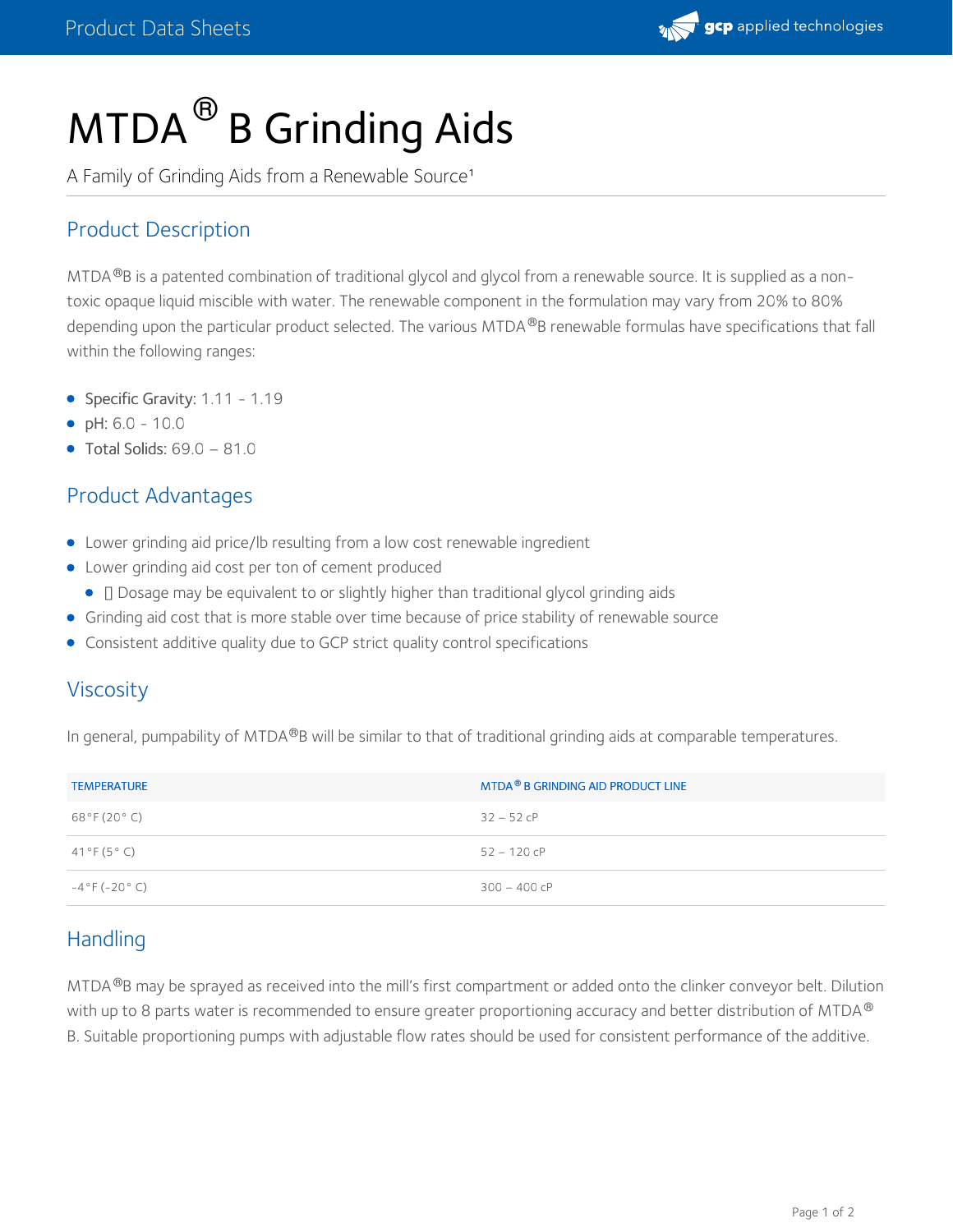

# MTDA  $^\circledR$  B Grinding Aids

A Family of Grinding Aids from a Renewable Source<sup>1</sup>

# Product Description

MTDA  $@B$  is a patented combination of traditional glycol and glycol from a renewable source. It is supplied as a nontoxic opaque liquid miscible with water. The renewable component in the formulation may vary from 20% to 80% depending upon the particular product selected. The various MTDA®B renewable formulas have specifications that fall within the following ranges:

- Specific Gravity: 1.11 1.19
- pH: 6.0 10.0
- $\bullet$  Total Solids: 69.0 81.0

# Product Advantages

- Lower grinding aid price/lb resulting from a low cost renewable ingredient
- Lower grinding aid cost per ton of cement produced
	- **I** Dosage may be equivalent to or slightly higher than traditional glycol grinding aids
- Grinding aid cost that is more stable over time because of price stability of renewable source
- Consistent additive quality due to GCP strict quality control specifications

# Viscosity

In general, pumpability of MTDA®B will be similar to that of traditional grinding aids at comparable temperatures.

| <b>TEMPERATURE</b> | MTDA <sup>®</sup> B GRINDING AID PRODUCT LINE |
|--------------------|-----------------------------------------------|
| 68°F (20°C)        | $32 - 52$ cP                                  |
| 41°F (5°C)         | $52 - 120$ cP                                 |
| $-4°F(-20° C)$     | $300 - 400$ cP                                |

# **Handling**

MTDA ®B may be sprayed as received into the mill's first compartment or added onto the clinker conveyor belt. Dilution with up to 8 parts water is recommended to ensure greater proportioning accuracy and better distribution of MTDA  $^\circledR$ B. Suitable proportioning pumps with adjustable flow rates should be used for consistent performance of the additive.